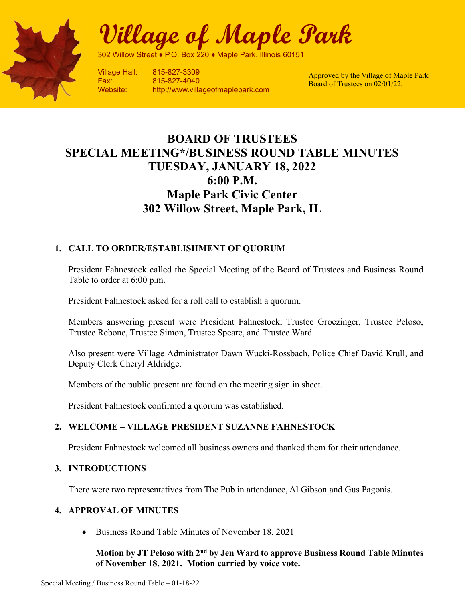

Village of Maple Park

302 Willow Street ♦ P.O. Box 220 ♦ Maple Park, Illinois 601

Village Hall: 815-827-3309 Fax: 815-827-4040 Website: http://www.villageofmaplepark.com

Approved by the Village of Maple Park Board of Trustees on 02/01/22.

# BOARD OF TRUSTEES SPECIAL MEETING\*/BUSINESS ROUND TABLE MINUTES TUESDAY, JANUARY 18, 2022 6:00 P.M. Maple Park Civic Center 302 Willow Street, Maple Park, IL

## 1. CALL TO ORDER/ESTABLISHMENT OF QUORUM

President Fahnestock called the Special Meeting of the Board of Trustees and Business Round Table to order at 6:00 p.m.

President Fahnestock asked for a roll call to establish a quorum.

Members answering present were President Fahnestock, Trustee Groezinger, Trustee Peloso, Trustee Rebone, Trustee Simon, Trustee Speare, and Trustee Ward.

Also present were Village Administrator Dawn Wucki-Rossbach, Police Chief David Krull, and Deputy Clerk Cheryl Aldridge.

Members of the public present are found on the meeting sign in sheet.

President Fahnestock confirmed a quorum was established.

## 2. WELCOME – VILLAGE PRESIDENT SUZANNE FAHNESTOCK

President Fahnestock welcomed all business owners and thanked them for their attendance.

#### 3. INTRODUCTIONS

There were two representatives from The Pub in attendance, Al Gibson and Gus Pagonis.

## 4. APPROVAL OF MINUTES

• Business Round Table Minutes of November 18, 2021

Motion by JT Peloso with 2<sup>nd</sup> by Jen Ward to approve Business Round Table Minutes of November 18, 2021. Motion carried by voice vote.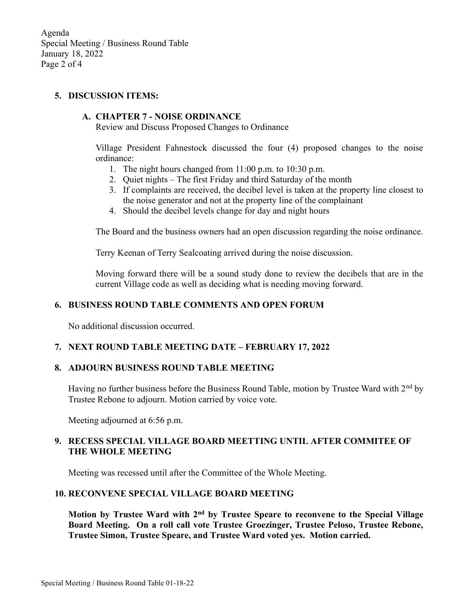Agenda Special Meeting / Business Round Table January 18, 2022 Page 2 of 4

#### 5. DISCUSSION ITEMS:

#### A. CHAPTER 7 - NOISE ORDINANCE

Review and Discuss Proposed Changes to Ordinance

Village President Fahnestock discussed the four (4) proposed changes to the noise ordinance:

- 1. The night hours changed from 11:00 p.m. to 10:30 p.m.
- 2. Quiet nights The first Friday and third Saturday of the month
- 3. If complaints are received, the decibel level is taken at the property line closest to the noise generator and not at the property line of the complainant
- 4. Should the decibel levels change for day and night hours

The Board and the business owners had an open discussion regarding the noise ordinance.

Terry Keenan of Terry Sealcoating arrived during the noise discussion.

Moving forward there will be a sound study done to review the decibels that are in the current Village code as well as deciding what is needing moving forward.

## 6. BUSINESS ROUND TABLE COMMENTS AND OPEN FORUM

No additional discussion occurred.

## 7. NEXT ROUND TABLE MEETING DATE – FEBRUARY 17, 2022

#### 8. ADJOURN BUSINESS ROUND TABLE MEETING

Having no further business before the Business Round Table, motion by Trustee Ward with  $2<sup>nd</sup>$  by Trustee Rebone to adjourn. Motion carried by voice vote.

Meeting adjourned at 6:56 p.m.

## 9. RECESS SPECIAL VILLAGE BOARD MEETTING UNTIL AFTER COMMITEE OF THE WHOLE MEETING

Meeting was recessed until after the Committee of the Whole Meeting.

#### 10. RECONVENE SPECIAL VILLAGE BOARD MEETING

Motion by Trustee Ward with  $2<sup>nd</sup>$  by Trustee Speare to reconvene to the Special Village Board Meeting. On a roll call vote Trustee Groezinger, Trustee Peloso, Trustee Rebone, Trustee Simon, Trustee Speare, and Trustee Ward voted yes. Motion carried.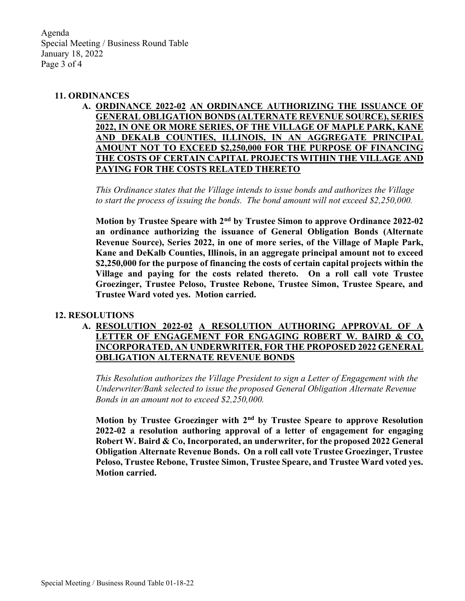Agenda Special Meeting / Business Round Table January 18, 2022 Page 3 of 4

#### 11. ORDINANCES

A. ORDINANCE 2022-02 AN ORDINANCE AUTHORIZING THE ISSUANCE OF GENERAL OBLIGATION BONDS (ALTERNATE REVENUE SOURCE), SERIES 2022, IN ONE OR MORE SERIES, OF THE VILLAGE OF MAPLE PARK, KANE AND DEKALB COUNTIES, ILLINOIS, IN AN AGGREGATE PRINCIPAL AMOUNT NOT TO EXCEED \$2,250,000 FOR THE PURPOSE OF FINANCING THE COSTS OF CERTAIN CAPITAL PROJECTS WITHIN THE VILLAGE AND PAYING FOR THE COSTS RELATED THERETO

This Ordinance states that the Village intends to issue bonds and authorizes the Village to start the process of issuing the bonds. The bond amount will not exceed \$2,250,000.

Motion by Trustee Speare with 2<sup>nd</sup> by Trustee Simon to approve Ordinance 2022-02 an ordinance authorizing the issuance of General Obligation Bonds (Alternate Revenue Source), Series 2022, in one of more series, of the Village of Maple Park, Kane and DeKalb Counties, Illinois, in an aggregate principal amount not to exceed \$2,250,000 for the purpose of financing the costs of certain capital projects within the Village and paying for the costs related thereto. On a roll call vote Trustee Groezinger, Trustee Peloso, Trustee Rebone, Trustee Simon, Trustee Speare, and Trustee Ward voted yes. Motion carried.

#### 12. RESOLUTIONS

A. RESOLUTION 2022-02 A RESOLUTION AUTHORING APPROVAL OF A LETTER OF ENGAGEMENT FOR ENGAGING ROBERT W. BAIRD & CO, INCORPORATED, AN UNDERWRITER, FOR THE PROPOSED 2022 GENERAL OBLIGATION ALTERNATE REVENUE BONDS

This Resolution authorizes the Village President to sign a Letter of Engagement with the Underwriter/Bank selected to issue the proposed General Obligation Alternate Revenue Bonds in an amount not to exceed \$2,250,000.

Motion by Trustee Groezinger with 2<sup>nd</sup> by Trustee Speare to approve Resolution 2022-02 a resolution authoring approval of a letter of engagement for engaging Robert W. Baird & Co, Incorporated, an underwriter, for the proposed 2022 General Obligation Alternate Revenue Bonds. On a roll call vote Trustee Groezinger, Trustee Peloso, Trustee Rebone, Trustee Simon, Trustee Speare, and Trustee Ward voted yes. Motion carried.